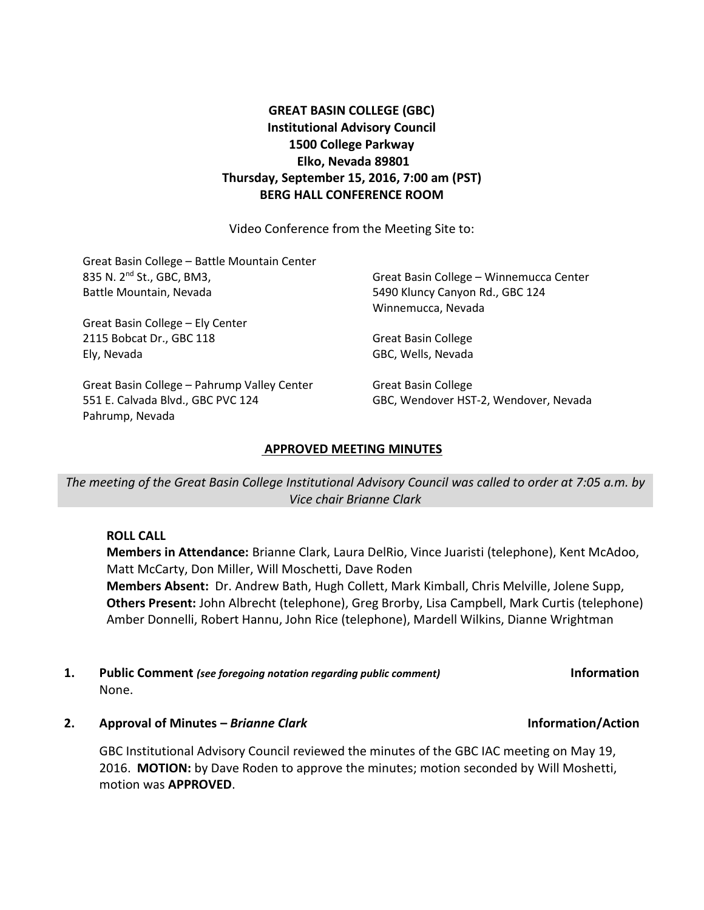# **GREAT BASIN COLLEGE (GBC) Institutional Advisory Council 1500 College Parkway Elko, Nevada 89801 Thursday, September 15, 2016, 7:00 am (PST) BERG HALL CONFERENCE ROOM**

Video Conference from the Meeting Site to:

| Great Basin College - Battle Mountain Center |                                         |
|----------------------------------------------|-----------------------------------------|
| 835 N. 2 <sup>nd</sup> St., GBC, BM3,        | Great Basin College - Winnemucca Center |
| Battle Mountain, Nevada                      | 5490 Kluncy Canyon Rd., GBC 124         |
|                                              | Winnemucca, Nevada                      |
| Great Basin College - Ely Center             |                                         |
| 2115 Bobcat Dr., GBC 118                     | Great Basin College                     |
| Ely, Nevada                                  | GBC, Wells, Nevada                      |
| Great Basin College - Pahrump Valley Center  | <b>Great Basin College</b>              |
| 551 E. Calvada Blvd., GBC PVC 124            | GBC, Wendover HST-2, Wendover, Nevada   |
| Pahrump, Nevada                              |                                         |

# **APPROVED MEETING MINUTES**

*The meeting of the Great Basin College Institutional Advisory Council was called to order at 7:05 a.m. by Vice chair Brianne Clark*

**ROLL CALL**

**Members in Attendance:** Brianne Clark, Laura DelRio, Vince Juaristi (telephone), Kent McAdoo, Matt McCarty, Don Miller, Will Moschetti, Dave Roden **Members Absent:** Dr. Andrew Bath, Hugh Collett, Mark Kimball, Chris Melville, Jolene Supp, **Others Present:** John Albrecht (telephone), Greg Brorby, Lisa Campbell, Mark Curtis (telephone) Amber Donnelli, Robert Hannu, John Rice (telephone), Mardell Wilkins, Dianne Wrightman

## **1. Public Comment** *(see foregoing notation regarding public comment)* **Information** None.

**2. Approval of Minutes –** *Brianne Clark* **Information/Action**

GBC Institutional Advisory Council reviewed the minutes of the GBC IAC meeting on May 19, 2016. **MOTION:** by Dave Roden to approve the minutes; motion seconded by Will Moshetti, motion was **APPROVED**.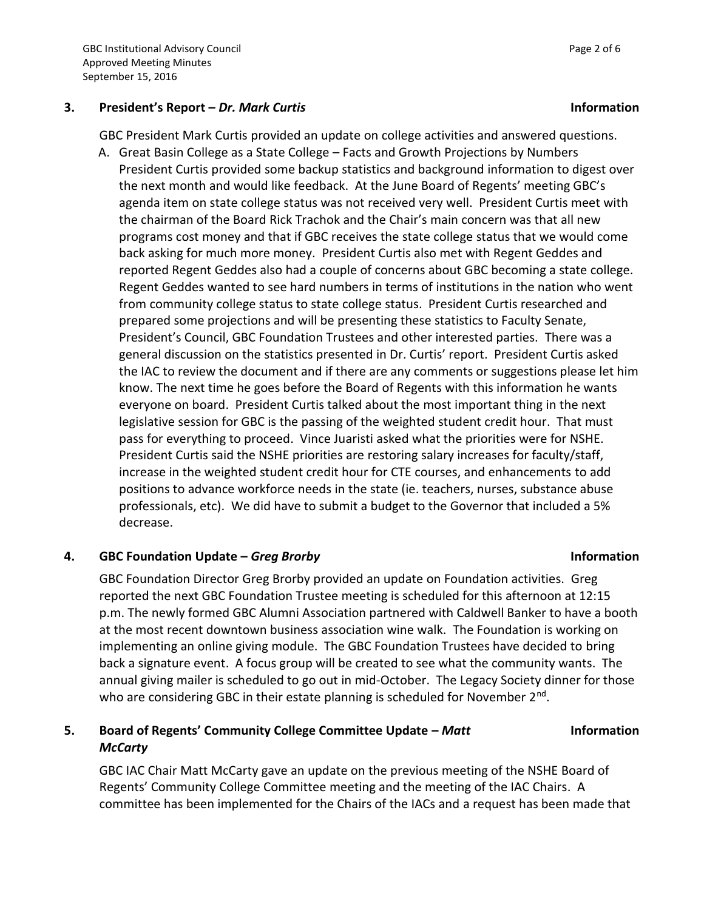## **3. President's Report –** *Dr. Mark Curtis* **Information**

GBC President Mark Curtis provided an update on college activities and answered questions.

A. Great Basin College as a State College – Facts and Growth Projections by Numbers President Curtis provided some backup statistics and background information to digest over the next month and would like feedback. At the June Board of Regents' meeting GBC's agenda item on state college status was not received very well. President Curtis meet with the chairman of the Board Rick Trachok and the Chair's main concern was that all new programs cost money and that if GBC receives the state college status that we would come back asking for much more money. President Curtis also met with Regent Geddes and reported Regent Geddes also had a couple of concerns about GBC becoming a state college. Regent Geddes wanted to see hard numbers in terms of institutions in the nation who went from community college status to state college status. President Curtis researched and prepared some projections and will be presenting these statistics to Faculty Senate, President's Council, GBC Foundation Trustees and other interested parties. There was a general discussion on the statistics presented in Dr. Curtis' report. President Curtis asked the IAC to review the document and if there are any comments or suggestions please let him know. The next time he goes before the Board of Regents with this information he wants everyone on board. President Curtis talked about the most important thing in the next legislative session for GBC is the passing of the weighted student credit hour. That must pass for everything to proceed. Vince Juaristi asked what the priorities were for NSHE. President Curtis said the NSHE priorities are restoring salary increases for faculty/staff, increase in the weighted student credit hour for CTE courses, and enhancements to add positions to advance workforce needs in the state (ie. teachers, nurses, substance abuse professionals, etc). We did have to submit a budget to the Governor that included a 5% decrease.

# **4. GBC Foundation Update –** *Greg Brorby* **Information**

GBC Foundation Director Greg Brorby provided an update on Foundation activities. Greg reported the next GBC Foundation Trustee meeting is scheduled for this afternoon at 12:15 p.m. The newly formed GBC Alumni Association partnered with Caldwell Banker to have a booth at the most recent downtown business association wine walk. The Foundation is working on implementing an online giving module. The GBC Foundation Trustees have decided to bring back a signature event. A focus group will be created to see what the community wants. The annual giving mailer is scheduled to go out in mid-October. The Legacy Society dinner for those who are considering GBC in their estate planning is scheduled for November 2<sup>nd</sup>.

# **5. Board of Regents' Community College Committee Update –** *Matt McCarty*

GBC IAC Chair Matt McCarty gave an update on the previous meeting of the NSHE Board of Regents' Community College Committee meeting and the meeting of the IAC Chairs. A committee has been implemented for the Chairs of the IACs and a request has been made that

**Information**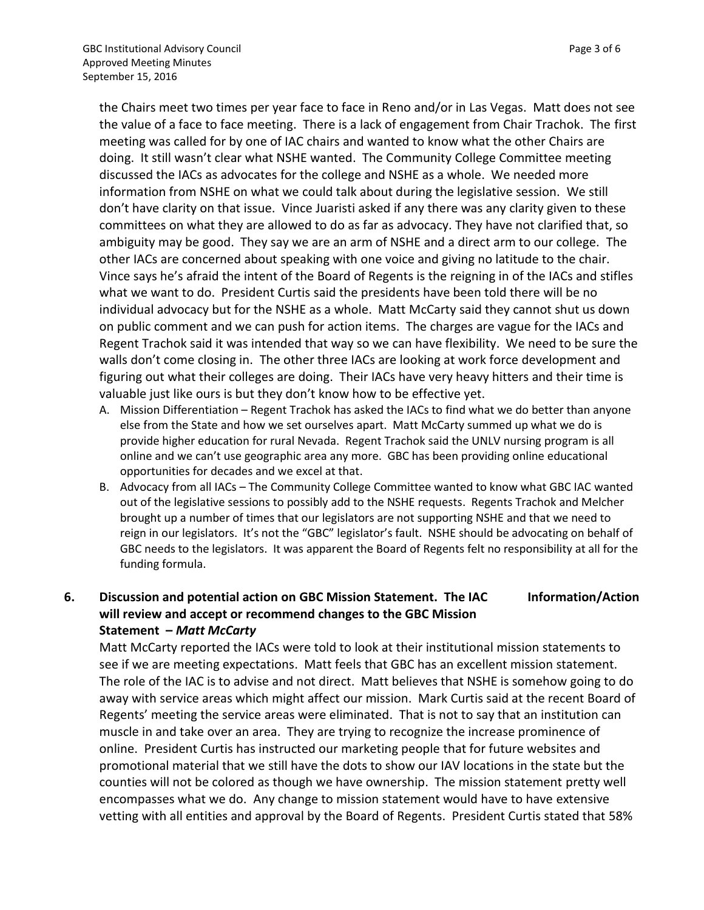the Chairs meet two times per year face to face in Reno and/or in Las Vegas. Matt does not see the value of a face to face meeting. There is a lack of engagement from Chair Trachok. The first meeting was called for by one of IAC chairs and wanted to know what the other Chairs are doing. It still wasn't clear what NSHE wanted. The Community College Committee meeting discussed the IACs as advocates for the college and NSHE as a whole. We needed more information from NSHE on what we could talk about during the legislative session. We still don't have clarity on that issue. Vince Juaristi asked if any there was any clarity given to these committees on what they are allowed to do as far as advocacy. They have not clarified that, so ambiguity may be good. They say we are an arm of NSHE and a direct arm to our college. The other IACs are concerned about speaking with one voice and giving no latitude to the chair. Vince says he's afraid the intent of the Board of Regents is the reigning in of the IACs and stifles what we want to do. President Curtis said the presidents have been told there will be no individual advocacy but for the NSHE as a whole. Matt McCarty said they cannot shut us down on public comment and we can push for action items. The charges are vague for the IACs and Regent Trachok said it was intended that way so we can have flexibility. We need to be sure the walls don't come closing in. The other three IACs are looking at work force development and figuring out what their colleges are doing. Their IACs have very heavy hitters and their time is valuable just like ours is but they don't know how to be effective yet.

- A. Mission Differentiation Regent Trachok has asked the IACs to find what we do better than anyone else from the State and how we set ourselves apart. Matt McCarty summed up what we do is provide higher education for rural Nevada. Regent Trachok said the UNLV nursing program is all online and we can't use geographic area any more. GBC has been providing online educational opportunities for decades and we excel at that.
- B. Advocacy from all IACs The Community College Committee wanted to know what GBC IAC wanted out of the legislative sessions to possibly add to the NSHE requests. Regents Trachok and Melcher brought up a number of times that our legislators are not supporting NSHE and that we need to reign in our legislators. It's not the "GBC" legislator's fault. NSHE should be advocating on behalf of GBC needs to the legislators. It was apparent the Board of Regents felt no responsibility at all for the funding formula.

## **6. Discussion and potential action on GBC Mission Statement. The IAC will review and accept or recommend changes to the GBC Mission Statement –** *Matt McCarty* **Information/Action**

Matt McCarty reported the IACs were told to look at their institutional mission statements to see if we are meeting expectations. Matt feels that GBC has an excellent mission statement. The role of the IAC is to advise and not direct. Matt believes that NSHE is somehow going to do away with service areas which might affect our mission. Mark Curtis said at the recent Board of Regents' meeting the service areas were eliminated. That is not to say that an institution can muscle in and take over an area. They are trying to recognize the increase prominence of online. President Curtis has instructed our marketing people that for future websites and promotional material that we still have the dots to show our IAV locations in the state but the counties will not be colored as though we have ownership. The mission statement pretty well encompasses what we do. Any change to mission statement would have to have extensive vetting with all entities and approval by the Board of Regents. President Curtis stated that 58%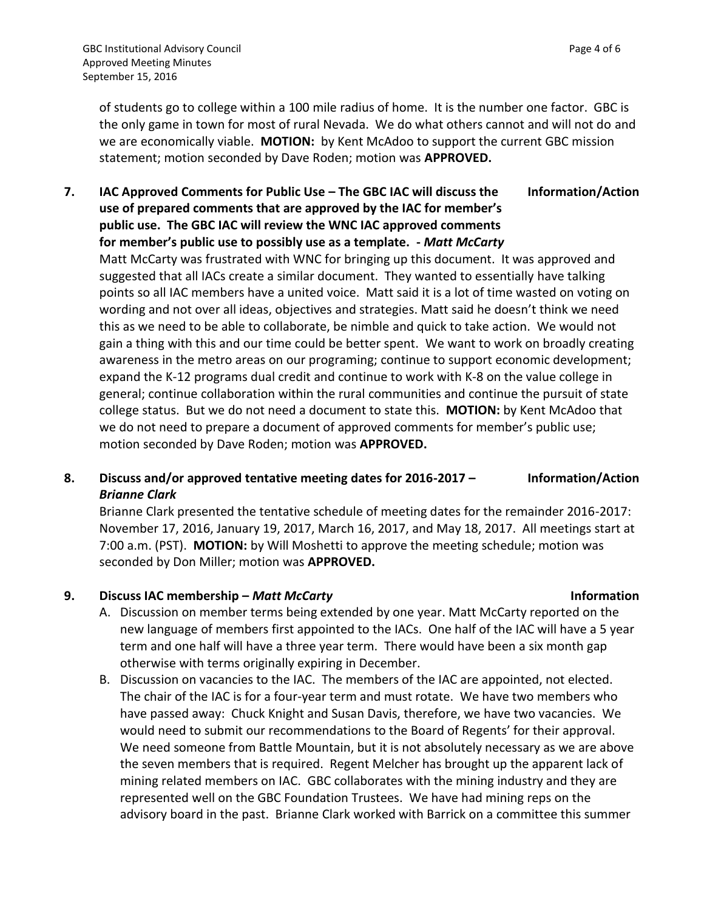of students go to college within a 100 mile radius of home. It is the number one factor. GBC is the only game in town for most of rural Nevada. We do what others cannot and will not do and we are economically viable. **MOTION:** by Kent McAdoo to support the current GBC mission statement; motion seconded by Dave Roden; motion was **APPROVED.** 

## **7. IAC Approved Comments for Public Use – The GBC IAC will discuss the use of prepared comments that are approved by the IAC for member's public use. The GBC IAC will review the WNC IAC approved comments for member's public use to possibly use as a template. -** *Matt McCarty* **Information/Action** Matt McCarty was frustrated with WNC for bringing up this document. It was approved and suggested that all IACs create a similar document. They wanted to essentially have talking

points so all IAC members have a united voice. Matt said it is a lot of time wasted on voting on wording and not over all ideas, objectives and strategies. Matt said he doesn't think we need this as we need to be able to collaborate, be nimble and quick to take action. We would not gain a thing with this and our time could be better spent. We want to work on broadly creating awareness in the metro areas on our programing; continue to support economic development; expand the K-12 programs dual credit and continue to work with K-8 on the value college in general; continue collaboration within the rural communities and continue the pursuit of state college status. But we do not need a document to state this. **MOTION:** by Kent McAdoo that we do not need to prepare a document of approved comments for member's public use; motion seconded by Dave Roden; motion was **APPROVED.**

## **8. Discuss and/or approved tentative meeting dates for 2016-2017 –** *Brianne Clark* **Information/Action**

Brianne Clark presented the tentative schedule of meeting dates for the remainder 2016-2017: November 17, 2016, January 19, 2017, March 16, 2017, and May 18, 2017. All meetings start at 7:00 a.m. (PST). **MOTION:** by Will Moshetti to approve the meeting schedule; motion was seconded by Don Miller; motion was **APPROVED.** 

# **9. Discuss IAC membership –** *Matt McCarty* **Information**

- A. Discussion on member terms being extended by one year. Matt McCarty reported on the new language of members first appointed to the IACs. One half of the IAC will have a 5 year term and one half will have a three year term. There would have been a six month gap otherwise with terms originally expiring in December.
- B. Discussion on vacancies to the IAC. The members of the IAC are appointed, not elected. The chair of the IAC is for a four-year term and must rotate. We have two members who have passed away: Chuck Knight and Susan Davis, therefore, we have two vacancies. We would need to submit our recommendations to the Board of Regents' for their approval. We need someone from Battle Mountain, but it is not absolutely necessary as we are above the seven members that is required. Regent Melcher has brought up the apparent lack of mining related members on IAC. GBC collaborates with the mining industry and they are represented well on the GBC Foundation Trustees. We have had mining reps on the advisory board in the past. Brianne Clark worked with Barrick on a committee this summer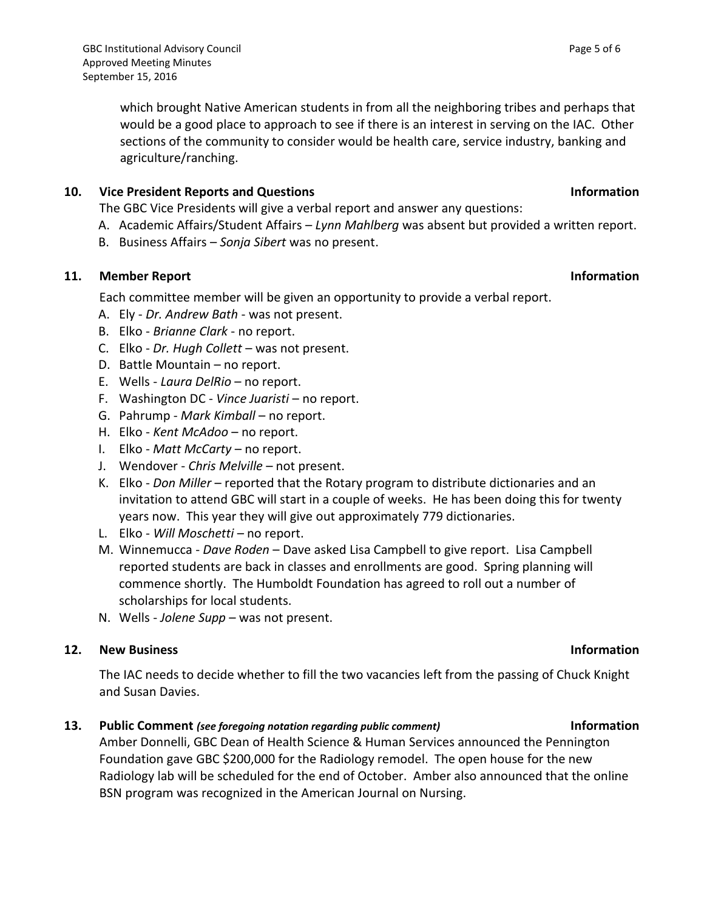which brought Native American students in from all the neighboring tribes and perhaps that would be a good place to approach to see if there is an interest in serving on the IAC. Other sections of the community to consider would be health care, service industry, banking and agriculture/ranching.

## **10. Vice President Reports and Questions Information**

The GBC Vice Presidents will give a verbal report and answer any questions:

- A. Academic Affairs/Student Affairs *Lynn Mahlberg* was absent but provided a written report.
- B. Business Affairs *Sonja Sibert* was no present.

## **11. Member Report Information**

Each committee member will be given an opportunity to provide a verbal report.

- A. Ely *Dr. Andrew Bath* was not present.
- B. Elko *Brianne Clark* no report.
- C. Elko *Dr. Hugh Collett* was not present.
- D. Battle Mountain no report.
- E. Wells *Laura DelRio* no report.
- F. Washington DC *Vince Juaristi* no report.
- G. Pahrump *Mark Kimball* no report.
- H. Elko *Kent McAdoo* no report.
- I. Elko *Matt McCarty* no report.
- J. Wendover *Chris Melville* not present.
- K. Elko *Don Miller* reported that the Rotary program to distribute dictionaries and an invitation to attend GBC will start in a couple of weeks. He has been doing this for twenty years now. This year they will give out approximately 779 dictionaries.
- L. Elko *Will Moschetti* no report.
- M. Winnemucca *Dave Roden* Dave asked Lisa Campbell to give report. Lisa Campbell reported students are back in classes and enrollments are good. Spring planning will commence shortly. The Humboldt Foundation has agreed to roll out a number of scholarships for local students.
- N. Wells *Jolene Supp* was not present.

## **12. New Business Information**

The IAC needs to decide whether to fill the two vacancies left from the passing of Chuck Knight and Susan Davies.

# **13. Public Comment** *(see foregoing notation regarding public comment)* **Information**

Amber Donnelli, GBC Dean of Health Science & Human Services announced the Pennington Foundation gave GBC \$200,000 for the Radiology remodel. The open house for the new Radiology lab will be scheduled for the end of October. Amber also announced that the online BSN program was recognized in the American Journal on Nursing.